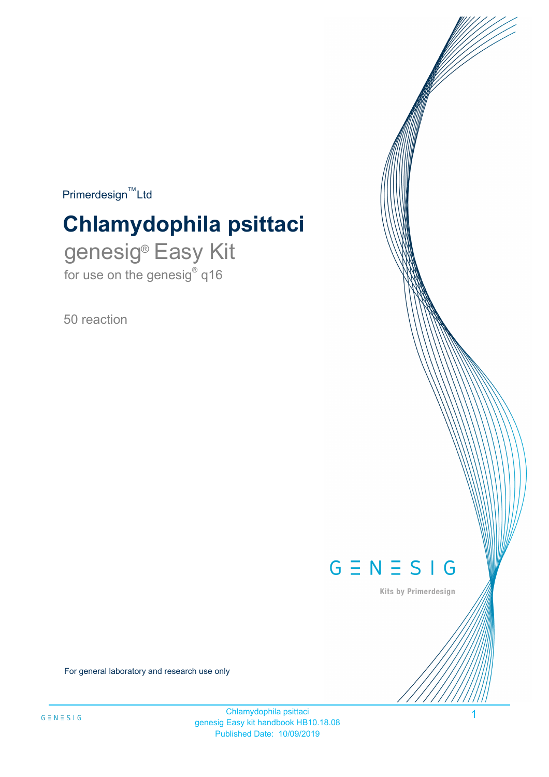$Primerdesign^{\text{TM}}Ltd$ 

# **Chlamydophila psittaci**

genesig® Easy Kit for use on the genesig $^{\circ}$  q16

50 reaction



Kits by Primerdesign

1

For general laboratory and research use only

Chlamydophila psittaci genesig Easy kit handbook HB10.18.08 Published Date: 10/09/2019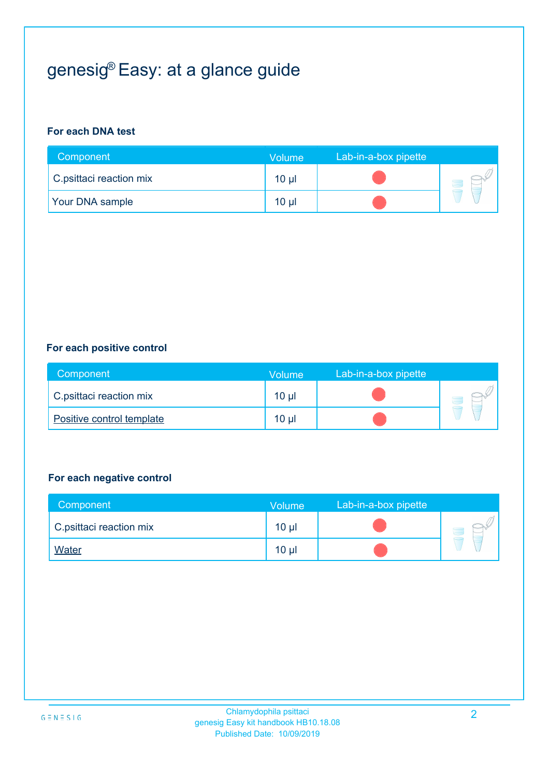# genesig® Easy: at a glance guide

#### **For each DNA test**

| Component               | Volume          | Lab-in-a-box pipette |  |
|-------------------------|-----------------|----------------------|--|
| C.psittaci reaction mix | 10 <sub>µ</sub> |                      |  |
| <b>Your DNA sample</b>  | 10 <sub>µ</sub> |                      |  |

#### **For each positive control**

| Component                 | Volume   | Lab-in-a-box pipette |  |
|---------------------------|----------|----------------------|--|
| C.psittaci reaction mix   | $10 \mu$ |                      |  |
| Positive control template | $10 \mu$ |                      |  |

#### **For each negative control**

| Component               | Volume          | Lab-in-a-box pipette |  |
|-------------------------|-----------------|----------------------|--|
| C.psittaci reaction mix | 10 <sub>µ</sub> |                      |  |
| <b>Water</b>            | $10 \mu$        |                      |  |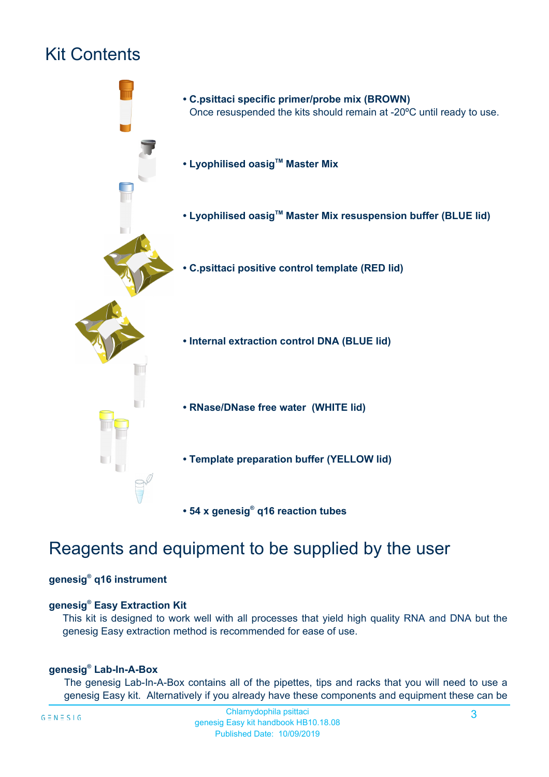## Kit Contents



### Reagents and equipment to be supplied by the user

#### **genesig® q16 instrument**

#### **genesig® Easy Extraction Kit**

This kit is designed to work well with all processes that yield high quality RNA and DNA but the genesig Easy extraction method is recommended for ease of use.

#### **genesig® Lab-In-A-Box**

The genesig Lab-In-A-Box contains all of the pipettes, tips and racks that you will need to use a genesig Easy kit. Alternatively if you already have these components and equipment these can be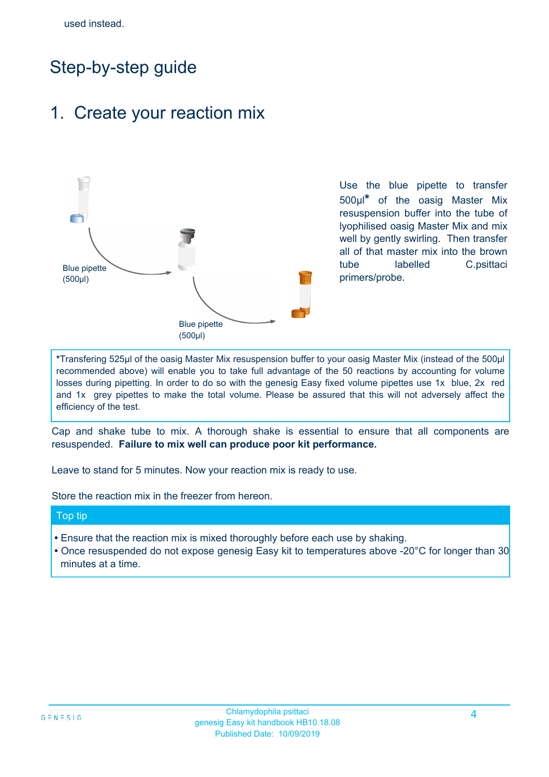## Step-by-step guide

### 1. Create your reaction mix



Use the blue pipette to transfer 500µl**\*** of the oasig Master Mix resuspension buffer into the tube of lyophilised oasig Master Mix and mix well by gently swirling. Then transfer all of that master mix into the brown tube labelled C.psittaci primers/probe.

**\***Transfering 525µl of the oasig Master Mix resuspension buffer to your oasig Master Mix (instead of the 500µl recommended above) will enable you to take full advantage of the 50 reactions by accounting for volume losses during pipetting. In order to do so with the genesig Easy fixed volume pipettes use 1x blue, 2x red and 1x grey pipettes to make the total volume. Please be assured that this will not adversely affect the efficiency of the test.

Cap and shake tube to mix. A thorough shake is essential to ensure that all components are resuspended. **Failure to mix well can produce poor kit performance.**

Leave to stand for 5 minutes. Now your reaction mix is ready to use.

Store the reaction mix in the freezer from hereon.

#### Top tip

- Ensure that the reaction mix is mixed thoroughly before each use by shaking.
- **•** Once resuspended do not expose genesig Easy kit to temperatures above -20°C for longer than 30 minutes at a time.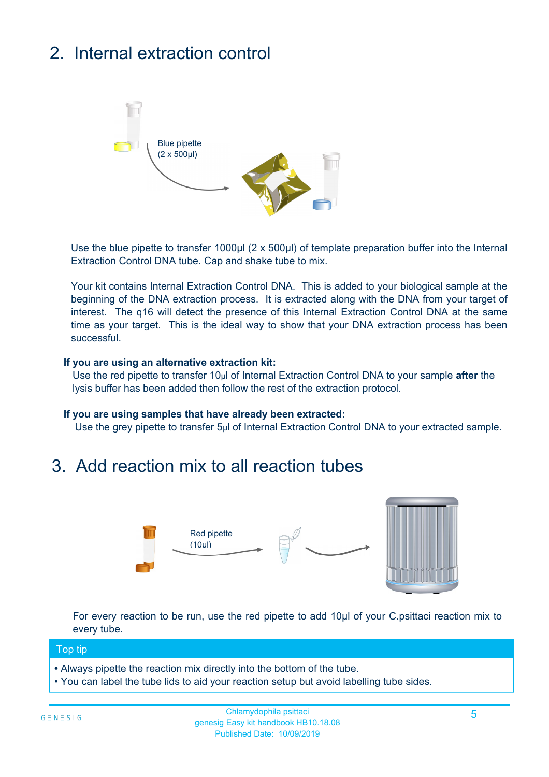# 2. Internal extraction control



Use the blue pipette to transfer 1000µl (2 x 500µl) of template preparation buffer into the Internal Extraction Control DNA tube. Cap and shake tube to mix.

Your kit contains Internal Extraction Control DNA. This is added to your biological sample at the beginning of the DNA extraction process. It is extracted along with the DNA from your target of interest. The q16 will detect the presence of this Internal Extraction Control DNA at the same time as your target. This is the ideal way to show that your DNA extraction process has been successful.

#### **If you are using an alternative extraction kit:**

Use the red pipette to transfer 10µl of Internal Extraction Control DNA to your sample **after** the lysis buffer has been added then follow the rest of the extraction protocol.

#### **If you are using samples that have already been extracted:**

Use the grey pipette to transfer 5µl of Internal Extraction Control DNA to your extracted sample.

### 3. Add reaction mix to all reaction tubes



For every reaction to be run, use the red pipette to add 10µl of your C.psittaci reaction mix to every tube.

#### Top tip

- Always pipette the reaction mix directly into the bottom of the tube.
- You can label the tube lids to aid your reaction setup but avoid labelling tube sides.

#### Chlamydophila psittaci genesig Easy kit handbook HB10.18.08 Published Date: 10/09/2019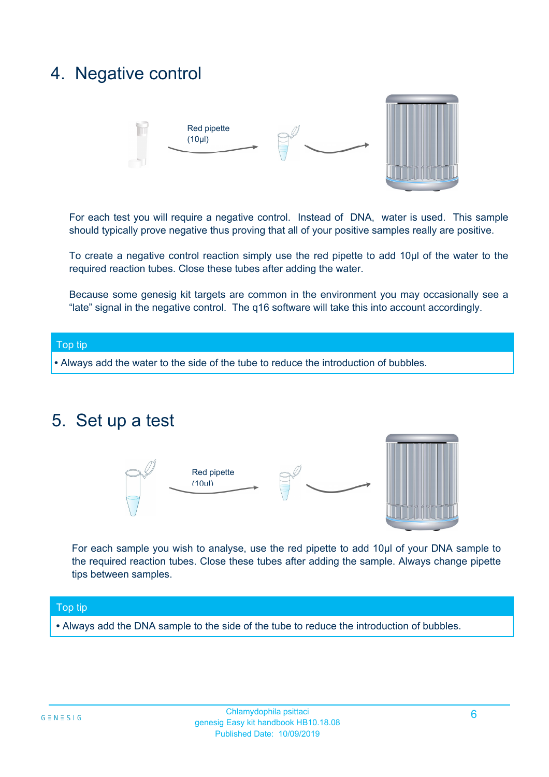### 4. Negative control



For each test you will require a negative control. Instead of DNA, water is used. This sample should typically prove negative thus proving that all of your positive samples really are positive.

To create a negative control reaction simply use the red pipette to add 10µl of the water to the required reaction tubes. Close these tubes after adding the water.

Because some genesig kit targets are common in the environment you may occasionally see a "late" signal in the negative control. The q16 software will take this into account accordingly.

# Top tip

**•** Always add the water to the side of the tube to reduce the introduction of bubbles.

### 5. Set up a test



For each sample you wish to analyse, use the red pipette to add 10µl of your DNA sample to the required reaction tubes. Close these tubes after adding the sample. Always change pipette tips between samples.

#### Top tip

**•** Always add the DNA sample to the side of the tube to reduce the introduction of bubbles.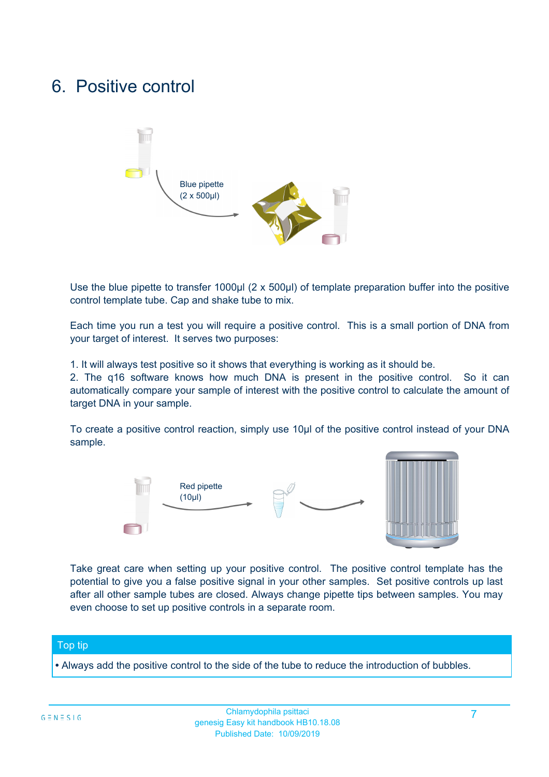## 6. Positive control



Use the blue pipette to transfer 1000µl (2 x 500µl) of template preparation buffer into the positive control template tube. Cap and shake tube to mix.

Each time you run a test you will require a positive control. This is a small portion of DNA from your target of interest. It serves two purposes:

1. It will always test positive so it shows that everything is working as it should be.

2. The q16 software knows how much DNA is present in the positive control. So it can automatically compare your sample of interest with the positive control to calculate the amount of target DNA in your sample.

To create a positive control reaction, simply use 10µl of the positive control instead of your DNA sample.



Take great care when setting up your positive control. The positive control template has the potential to give you a false positive signal in your other samples. Set positive controls up last after all other sample tubes are closed. Always change pipette tips between samples. You may even choose to set up positive controls in a separate room.

#### Top tip

**•** Always add the positive control to the side of the tube to reduce the introduction of bubbles.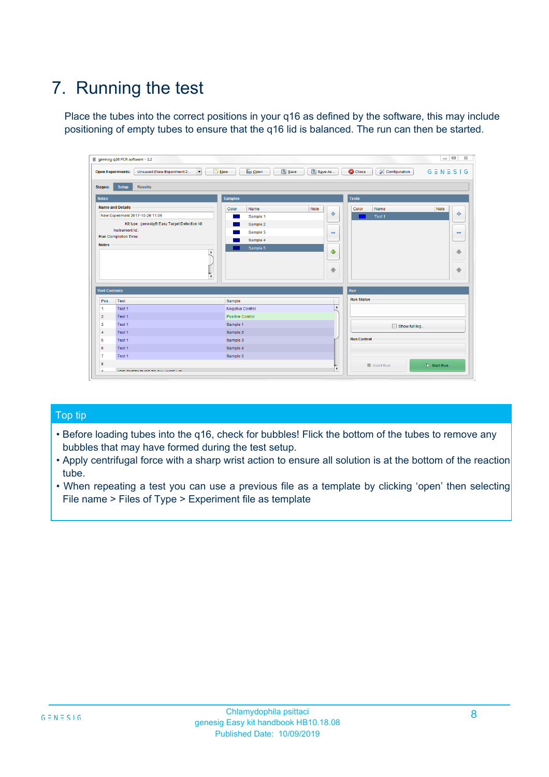# 7. Running the test

Place the tubes into the correct positions in your q16 as defined by the software, this may include positioning of empty tubes to ensure that the q16 lid is balanced. The run can then be started.

|                          | genesig q16 PCR software - 1.2                                               |                                            |                           |                                          | $\qquad \qquad \Box$<br>$\Sigma\!3$ |
|--------------------------|------------------------------------------------------------------------------|--------------------------------------------|---------------------------|------------------------------------------|-------------------------------------|
|                          | Unsaved (New Experiment 2<br>$\vert \cdot \vert$<br><b>Open Experiments:</b> | <b>B</b> Open<br>Save<br>$\frac{1}{2}$ New | Save As                   | <b>C</b> Close<br><b>X</b> Configuration | $G \equiv N \equiv S \mid G$        |
| <b>Stages:</b>           | Setup<br><b>Results</b>                                                      |                                            |                           |                                          |                                     |
| <b>Notes</b>             |                                                                              | <b>Samples</b>                             |                           | <b>Tests</b>                             |                                     |
|                          | <b>Name and Details</b>                                                      | Color<br>Name                              | Note                      | Color<br>Name                            | Note                                |
|                          | New Experiment 2017-10-26 11:06                                              | Sample 1                                   | 4                         | Test 1                                   | ÷                                   |
|                          | Kit type: genesig® Easy Target Detection kit                                 | Sample 2                                   |                           |                                          |                                     |
|                          | Instrument Id:                                                               | Sample 3                                   | $\equiv$                  |                                          | $\qquad \qquad \blacksquare$        |
|                          | Run Completion Time:                                                         | Sample 4                                   |                           |                                          |                                     |
| <b>Notes</b>             | A<br>$\overline{\mathbf{v}}$                                                 | Sample 5                                   | ♦<br>$\ddot{\phantom{1}}$ |                                          | 偷<br>₩                              |
| <b>Well Contents</b>     |                                                                              |                                            |                           | Run                                      |                                     |
| Pos.                     | Test                                                                         | Sample                                     |                           | <b>Run Status</b>                        |                                     |
| $\blacktriangleleft$     | Test 1                                                                       | <b>Negative Control</b>                    | $\blacktriangle$          |                                          |                                     |
| $\overline{2}$           | Test 1                                                                       | Positive Control                           |                           |                                          |                                     |
| $\overline{\mathbf{3}}$  | Test 1                                                                       | Sample 1                                   |                           | Show full log                            |                                     |
| $\overline{4}$           | Test 1                                                                       | Sample 2                                   |                           |                                          |                                     |
| 5                        | Test 1                                                                       | Sample 3                                   |                           | <b>Run Control</b>                       |                                     |
|                          | Test 1                                                                       | Sample 4                                   |                           |                                          |                                     |
|                          |                                                                              |                                            |                           |                                          |                                     |
|                          | Test 1                                                                       | Sample 5                                   |                           |                                          |                                     |
| 6<br>$\overline{7}$<br>8 |                                                                              |                                            | $\overline{\mathbf{v}}$   | Abort Run                                | $\triangleright$ Start Run          |

#### Top tip

- Before loading tubes into the q16, check for bubbles! Flick the bottom of the tubes to remove any bubbles that may have formed during the test setup.
- Apply centrifugal force with a sharp wrist action to ensure all solution is at the bottom of the reaction tube.
- When repeating a test you can use a previous file as a template by clicking 'open' then selecting File name > Files of Type > Experiment file as template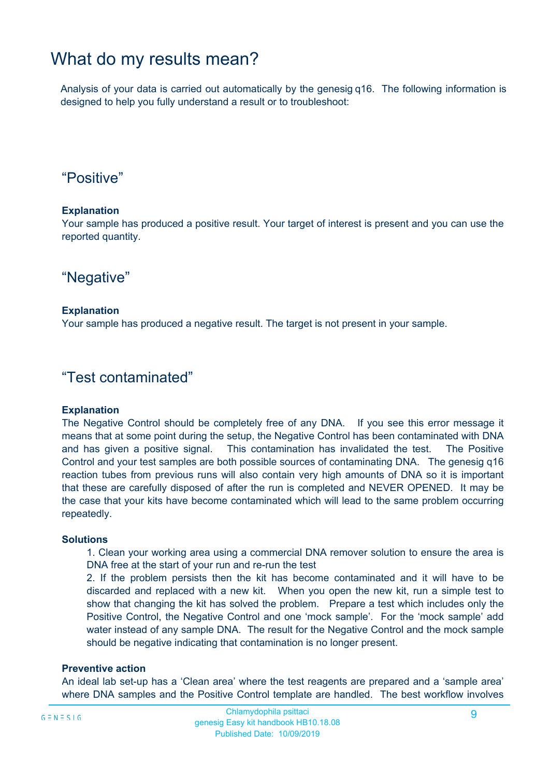### What do my results mean?

Analysis of your data is carried out automatically by the genesig q16. The following information is designed to help you fully understand a result or to troubleshoot:

### "Positive"

#### **Explanation**

Your sample has produced a positive result. Your target of interest is present and you can use the reported quantity.

"Negative"

#### **Explanation**

Your sample has produced a negative result. The target is not present in your sample.

### "Test contaminated"

#### **Explanation**

The Negative Control should be completely free of any DNA. If you see this error message it means that at some point during the setup, the Negative Control has been contaminated with DNA and has given a positive signal. This contamination has invalidated the test. The Positive Control and your test samples are both possible sources of contaminating DNA. The genesig q16 reaction tubes from previous runs will also contain very high amounts of DNA so it is important that these are carefully disposed of after the run is completed and NEVER OPENED. It may be the case that your kits have become contaminated which will lead to the same problem occurring repeatedly.

#### **Solutions**

1. Clean your working area using a commercial DNA remover solution to ensure the area is DNA free at the start of your run and re-run the test

2. If the problem persists then the kit has become contaminated and it will have to be discarded and replaced with a new kit. When you open the new kit, run a simple test to show that changing the kit has solved the problem. Prepare a test which includes only the Positive Control, the Negative Control and one 'mock sample'. For the 'mock sample' add water instead of any sample DNA. The result for the Negative Control and the mock sample should be negative indicating that contamination is no longer present.

#### **Preventive action**

An ideal lab set-up has a 'Clean area' where the test reagents are prepared and a 'sample area' where DNA samples and the Positive Control template are handled. The best workflow involves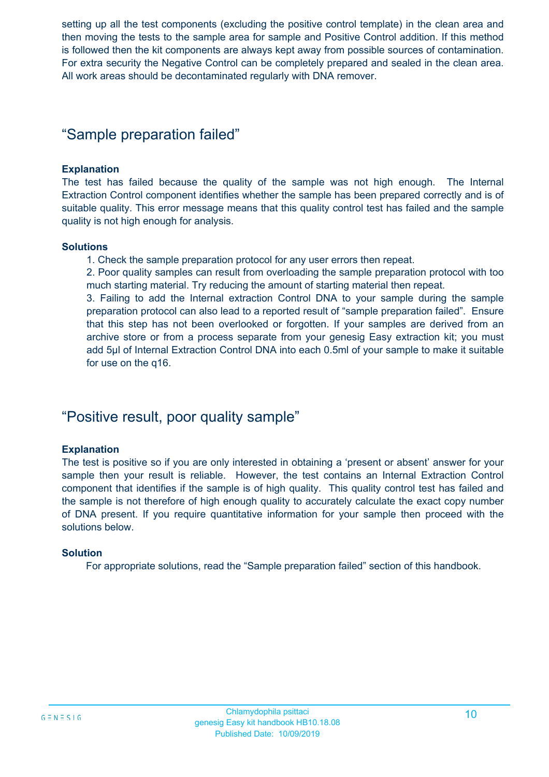setting up all the test components (excluding the positive control template) in the clean area and then moving the tests to the sample area for sample and Positive Control addition. If this method is followed then the kit components are always kept away from possible sources of contamination. For extra security the Negative Control can be completely prepared and sealed in the clean area. All work areas should be decontaminated regularly with DNA remover.

### "Sample preparation failed"

#### **Explanation**

The test has failed because the quality of the sample was not high enough. The Internal Extraction Control component identifies whether the sample has been prepared correctly and is of suitable quality. This error message means that this quality control test has failed and the sample quality is not high enough for analysis.

#### **Solutions**

1. Check the sample preparation protocol for any user errors then repeat.

2. Poor quality samples can result from overloading the sample preparation protocol with too much starting material. Try reducing the amount of starting material then repeat.

3. Failing to add the Internal extraction Control DNA to your sample during the sample preparation protocol can also lead to a reported result of "sample preparation failed". Ensure that this step has not been overlooked or forgotten. If your samples are derived from an archive store or from a process separate from your genesig Easy extraction kit; you must add 5µl of Internal Extraction Control DNA into each 0.5ml of your sample to make it suitable for use on the q16.

### "Positive result, poor quality sample"

#### **Explanation**

The test is positive so if you are only interested in obtaining a 'present or absent' answer for your sample then your result is reliable. However, the test contains an Internal Extraction Control component that identifies if the sample is of high quality. This quality control test has failed and the sample is not therefore of high enough quality to accurately calculate the exact copy number of DNA present. If you require quantitative information for your sample then proceed with the solutions below.

#### **Solution**

For appropriate solutions, read the "Sample preparation failed" section of this handbook.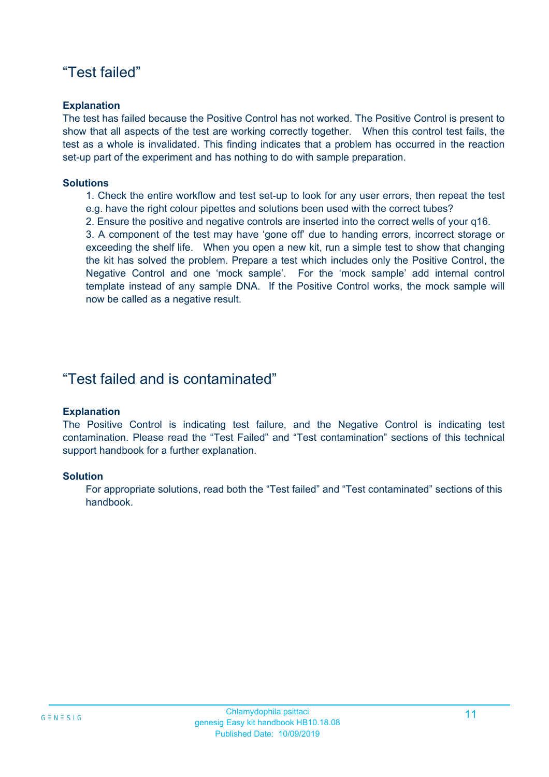### "Test failed"

#### **Explanation**

The test has failed because the Positive Control has not worked. The Positive Control is present to show that all aspects of the test are working correctly together. When this control test fails, the test as a whole is invalidated. This finding indicates that a problem has occurred in the reaction set-up part of the experiment and has nothing to do with sample preparation.

#### **Solutions**

1. Check the entire workflow and test set-up to look for any user errors, then repeat the test e.g. have the right colour pipettes and solutions been used with the correct tubes?

2. Ensure the positive and negative controls are inserted into the correct wells of your q16.

3. A component of the test may have 'gone off' due to handing errors, incorrect storage or exceeding the shelf life. When you open a new kit, run a simple test to show that changing the kit has solved the problem. Prepare a test which includes only the Positive Control, the Negative Control and one 'mock sample'. For the 'mock sample' add internal control template instead of any sample DNA. If the Positive Control works, the mock sample will now be called as a negative result.

### "Test failed and is contaminated"

#### **Explanation**

The Positive Control is indicating test failure, and the Negative Control is indicating test contamination. Please read the "Test Failed" and "Test contamination" sections of this technical support handbook for a further explanation.

#### **Solution**

For appropriate solutions, read both the "Test failed" and "Test contaminated" sections of this handbook.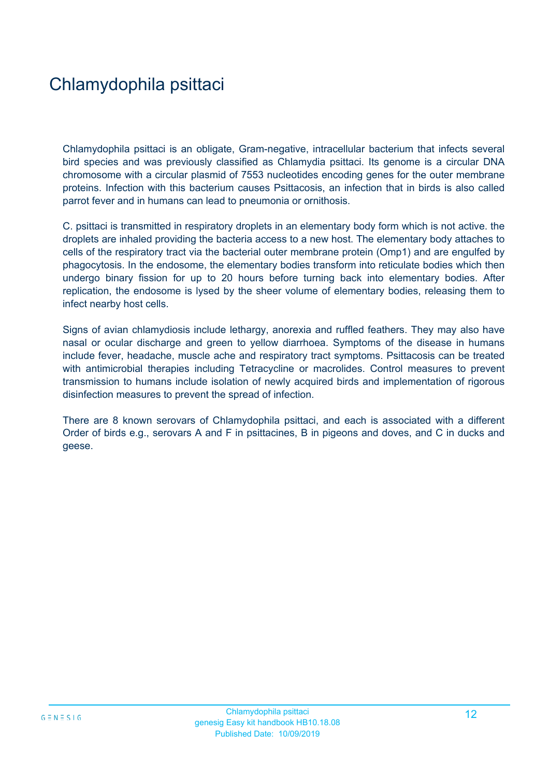# Chlamydophila psittaci

Chlamydophila psittaci is an obligate, Gram-negative, intracellular bacterium that infects several bird species and was previously classified as Chlamydia psittaci. Its genome is a circular DNA chromosome with a circular plasmid of 7553 nucleotides encoding genes for the outer membrane proteins. Infection with this bacterium causes Psittacosis, an infection that in birds is also called parrot fever and in humans can lead to pneumonia or ornithosis.

C. psittaci is transmitted in respiratory droplets in an elementary body form which is not active. the droplets are inhaled providing the bacteria access to a new host. The elementary body attaches to cells of the respiratory tract via the bacterial outer membrane protein (Omp1) and are engulfed by phagocytosis. In the endosome, the elementary bodies transform into reticulate bodies which then undergo binary fission for up to 20 hours before turning back into elementary bodies. After replication, the endosome is lysed by the sheer volume of elementary bodies, releasing them to infect nearby host cells.

Signs of avian chlamydiosis include lethargy, anorexia and ruffled feathers. They may also have nasal or ocular discharge and green to yellow diarrhoea. Symptoms of the disease in humans include fever, headache, muscle ache and respiratory tract symptoms. Psittacosis can be treated with antimicrobial therapies including Tetracycline or macrolides. Control measures to prevent transmission to humans include isolation of newly acquired birds and implementation of rigorous disinfection measures to prevent the spread of infection.

There are 8 known serovars of Chlamydophila psittaci, and each is associated with a different Order of birds e.g., serovars A and F in psittacines, B in pigeons and doves, and C in ducks and geese.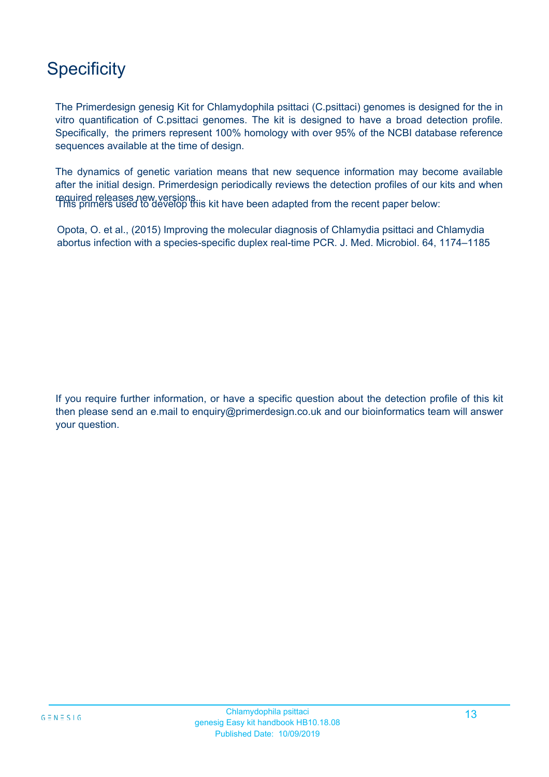# **Specificity**

The Primerdesign genesig Kit for Chlamydophila psittaci (C.psittaci) genomes is designed for the in vitro quantification of C.psittaci genomes. The kit is designed to have a broad detection profile. Specifically, the primers represent 100% homology with over 95% of the NCBI database reference sequences available at the time of design.

required releases new versions.<br>This primers used to develop this kit have been adapted from the recent paper below: The dynamics of genetic variation means that new sequence information may become available after the initial design. Primerdesign periodically reviews the detection profiles of our kits and when

Opota, O. et al., (2015) Improving the molecular diagnosis of Chlamydia psittaci and Chlamydia abortus infection with a species-specific duplex real-time PCR. J. Med. Microbiol. 64, 1174–1185

If you require further information, or have a specific question about the detection profile of this kit then please send an e.mail to enquiry@primerdesign.co.uk and our bioinformatics team will answer your question.